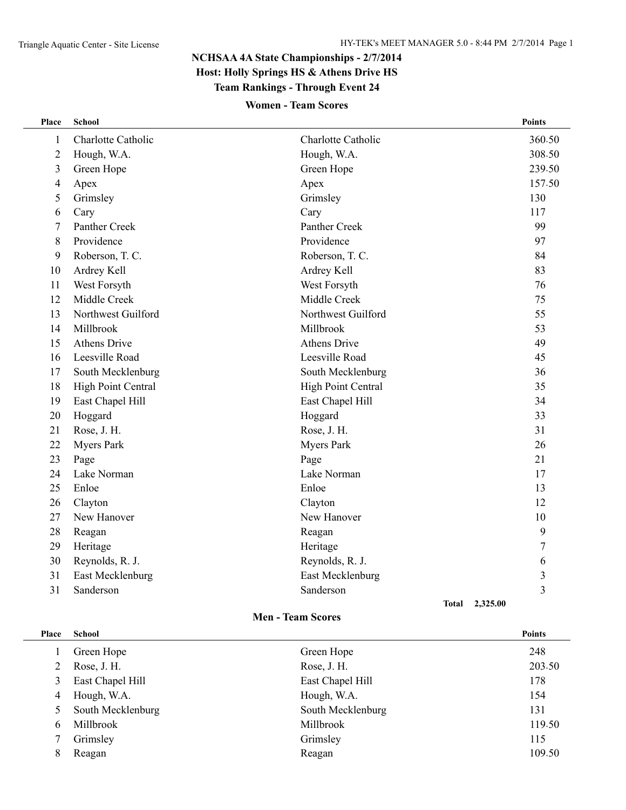# **NCHSAA 4A State Championships - 2/7/2014 Host: Holly Springs HS & Athens Drive HS Team Rankings - Through Event 24**

## **Women - Team Scores**

| Place          | <b>School</b>       |                          | <b>Points</b>  |
|----------------|---------------------|--------------------------|----------------|
| 1              | Charlotte Catholic  | Charlotte Catholic       | 360.50         |
| $\overline{2}$ | Hough, W.A.         | Hough, W.A.              | 308.50         |
| 3              | Green Hope          | Green Hope               | 239.50         |
| $\overline{4}$ | Apex                | Apex                     | 157.50         |
| 5              | Grimsley            | Grimsley                 | 130            |
| 6              | Cary                | Cary                     | 117            |
| 7              | Panther Creek       | Panther Creek            | 99             |
| 8              | Providence          | Providence               | 97             |
| 9              | Roberson, T. C.     | Roberson, T. C.          | 84             |
| 10             | Ardrey Kell         | Ardrey Kell              | 83             |
| 11             | West Forsyth        | West Forsyth             | 76             |
| 12             | Middle Creek        | Middle Creek             | 75             |
| 13             | Northwest Guilford  | Northwest Guilford       | 55             |
| 14             | Millbrook           | Millbrook                | 53             |
| 15             | <b>Athens Drive</b> | <b>Athens Drive</b>      | 49             |
| 16             | Leesville Road      | Leesville Road           | 45             |
| 17             | South Mecklenburg   | South Mecklenburg        | 36             |
| 18             | High Point Central  | High Point Central       | 35             |
| 19             | East Chapel Hill    | East Chapel Hill         | 34             |
| 20             | Hoggard             | Hoggard                  | 33             |
| 21             | Rose, J. H.         | Rose, J. H.              | 31             |
| 22             | <b>Myers Park</b>   | <b>Myers Park</b>        | 26             |
| 23             | Page                | Page                     | 21             |
| 24             | Lake Norman         | Lake Norman              | 17             |
| 25             | Enloe               | Enloe                    | 13             |
| 26             | Clayton             | Clayton                  | 12             |
| 27             | New Hanover         | New Hanover              | 10             |
| 28             | Reagan              | Reagan                   | 9              |
| 29             | Heritage            | Heritage                 | 7              |
| 30             | Reynolds, R. J.     | Reynolds, R. J.          | 6              |
| 31             | East Mecklenburg    | East Mecklenburg         | 3              |
| 31             | Sanderson           | Sanderson                | $\overline{3}$ |
|                |                     | 2.325.00<br><b>Total</b> |                |

#### **Men - Team Scores**

| Place | <b>School</b>     |                   | <b>Points</b> |
|-------|-------------------|-------------------|---------------|
|       | Green Hope        | Green Hope        | 248           |
| 2     | Rose, J. H.       | Rose, J. H.       | 203.50        |
| 3     | East Chapel Hill  | East Chapel Hill  | 178           |
| 4     | Hough, W.A.       | Hough, W.A.       | 154           |
| 5.    | South Mecklenburg | South Mecklenburg | 131           |
| 6     | Millbrook         | Millbrook         | 119.50        |
|       | Grimsley          | Grimsley          | 115           |
| 8     | Reagan            | Reagan            | 109.50        |
|       |                   |                   |               |